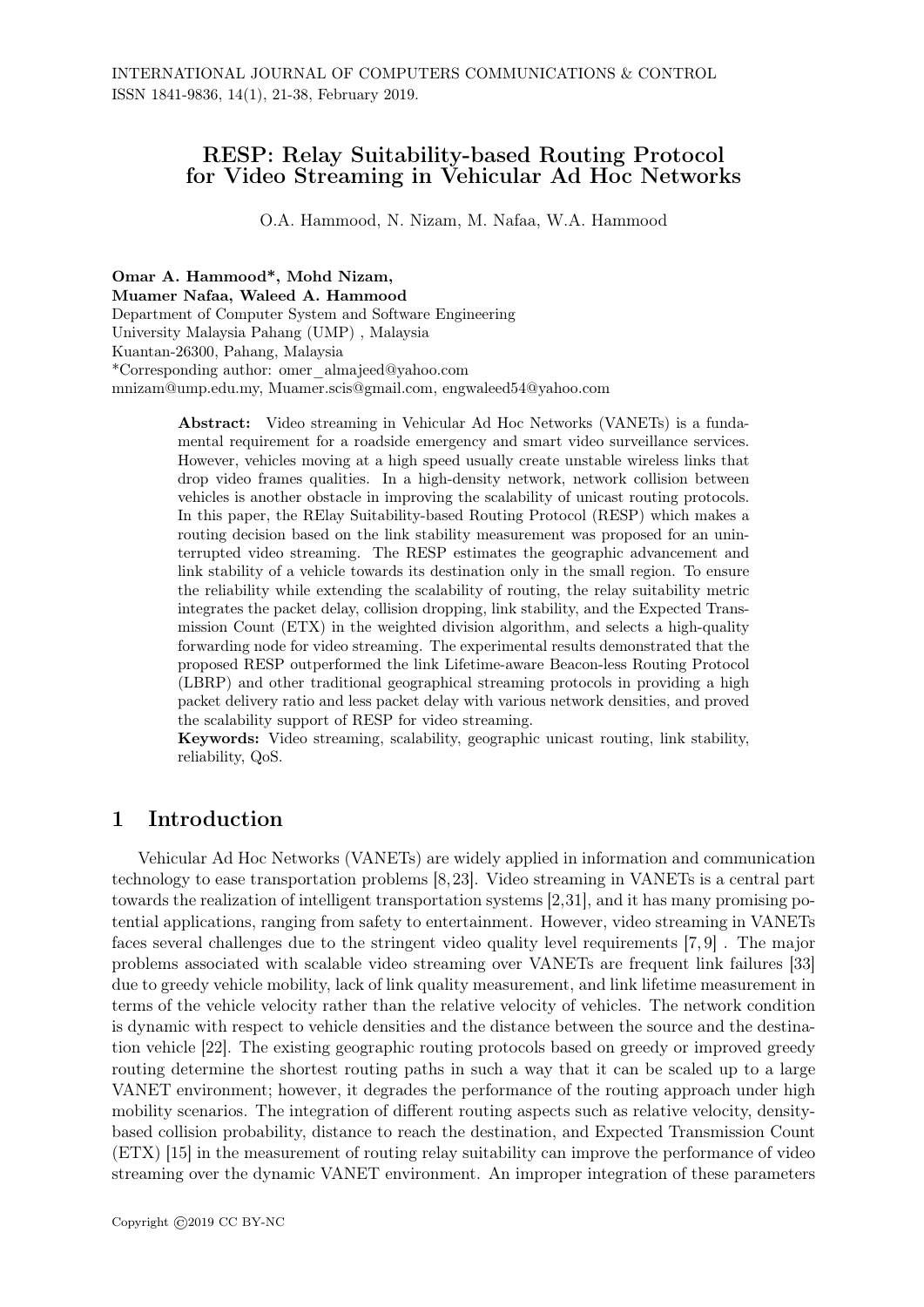# RESP: Relay Suitability-based Routing Protocol for Video Streaming in Vehicular Ad Hoc Networks

O.A. Hammood, N. Nizam, M. Nafaa, W.A. Hammood

Omar A. Hammood\*, Mohd Nizam,

Muamer Nafaa, Waleed A. Hammood Department of Computer System and Software Engineering University Malaysia Pahang (UMP) , Malaysia Kuantan-26300, Pahang, Malaysia \*Corresponding author: omer\_almajeed@yahoo.com mnizam@ump.edu.my, Muamer.scis@gmail.com, engwaleed54@yahoo.com

> Abstract: Video streaming in Vehicular Ad Hoc Networks (VANETs) is a fundamental requirement for a roadside emergency and smart video surveillance services. However, vehicles moving at a high speed usually create unstable wireless links that drop video frames qualities. In a high-density network, network collision between vehicles is another obstacle in improving the scalability of unicast routing protocols. In this paper, the RElay Suitability-based Routing Protocol (RESP) which makes a routing decision based on the link stability measurement was proposed for an uninterrupted video streaming. The RESP estimates the geographic advancement and link stability of a vehicle towards its destination only in the small region. To ensure the reliability while extending the scalability of routing, the relay suitability metric integrates the packet delay, collision dropping, link stability, and the Expected Transmission Count (ETX) in the weighted division algorithm, and selects a high-quality forwarding node for video streaming. The experimental results demonstrated that the proposed RESP outperformed the link Lifetime-aware Beacon-less Routing Protocol (LBRP) and other traditional geographical streaming protocols in providing a high packet delivery ratio and less packet delay with various network densities, and proved the scalability support of RESP for video streaming.

> Keywords: Video streaming, scalability, geographic unicast routing, link stability, reliability, QoS.

### 1 Introduction

Vehicular Ad Hoc Networks (VANETs) are widely applied in information and communication technology to ease transportation problems [8,23]. Video streaming in VANETs is a central part towards the realization of intelligent transportation systems [2,31], and it has many promising potential applications, ranging from safety to entertainment. However, video streaming in VANETs faces several challenges due to the stringent video quality level requirements [7, 9] . The major problems associated with scalable video streaming over VANETs are frequent link failures [33] due to greedy vehicle mobility, lack of link quality measurement, and link lifetime measurement in terms of the vehicle velocity rather than the relative velocity of vehicles. The network condition is dynamic with respect to vehicle densities and the distance between the source and the destination vehicle [22]. The existing geographic routing protocols based on greedy or improved greedy routing determine the shortest routing paths in such a way that it can be scaled up to a large VANET environment; however, it degrades the performance of the routing approach under high mobility scenarios. The integration of different routing aspects such as relative velocity, densitybased collision probability, distance to reach the destination, and Expected Transmission Count (ETX) [15] in the measurement of routing relay suitability can improve the performance of video streaming over the dynamic VANET environment. An improper integration of these parameters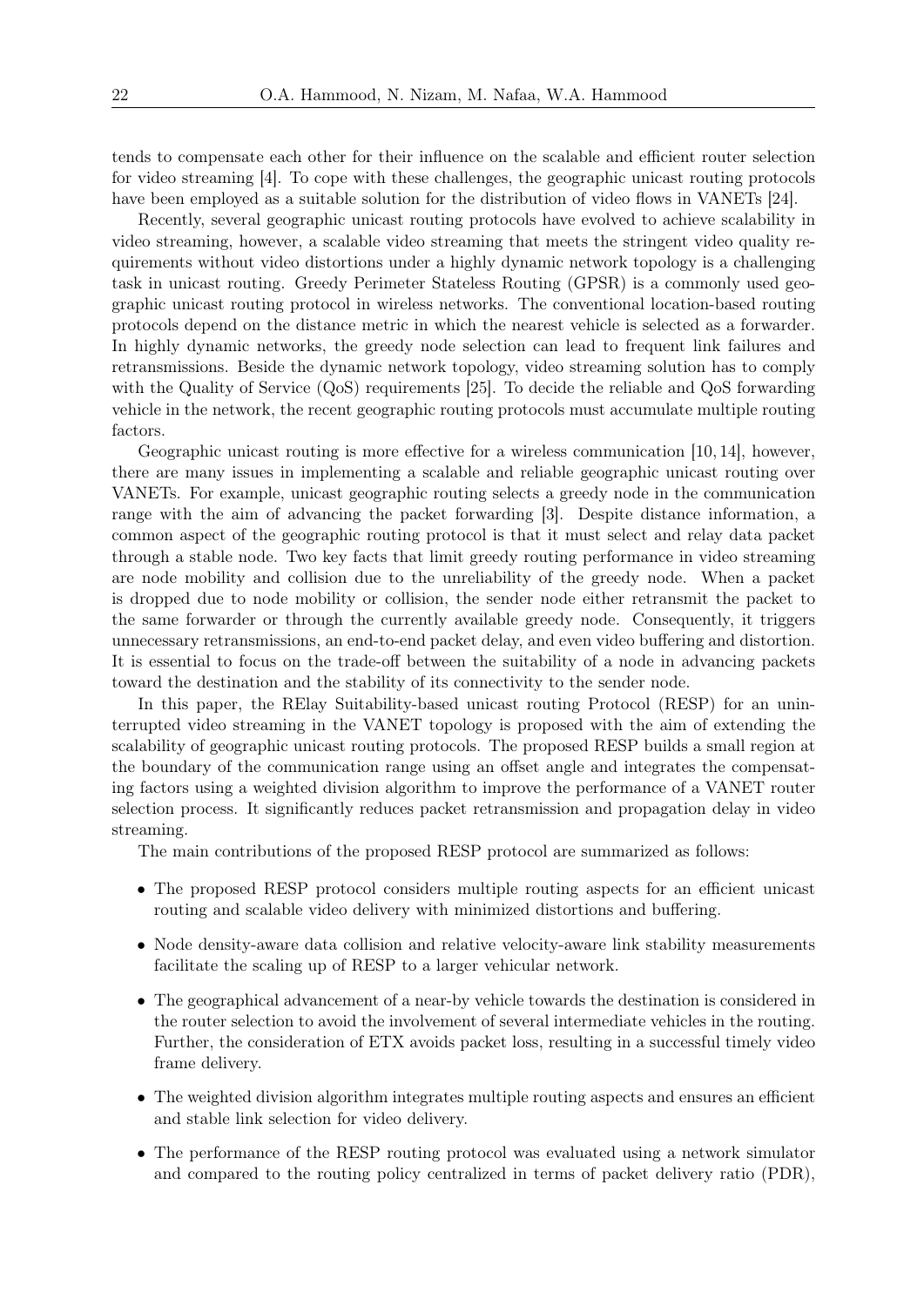tends to compensate each other for their influence on the scalable and efficient router selection for video streaming [4]. To cope with these challenges, the geographic unicast routing protocols have been employed as a suitable solution for the distribution of video flows in VANETs [24].

Recently, several geographic unicast routing protocols have evolved to achieve scalability in video streaming, however, a scalable video streaming that meets the stringent video quality requirements without video distortions under a highly dynamic network topology is a challenging task in unicast routing. Greedy Perimeter Stateless Routing (GPSR) is a commonly used geographic unicast routing protocol in wireless networks. The conventional location-based routing protocols depend on the distance metric in which the nearest vehicle is selected as a forwarder. In highly dynamic networks, the greedy node selection can lead to frequent link failures and retransmissions. Beside the dynamic network topology, video streaming solution has to comply with the Quality of Service (QoS) requirements [25]. To decide the reliable and QoS forwarding vehicle in the network, the recent geographic routing protocols must accumulate multiple routing factors.

Geographic unicast routing is more effective for a wireless communication [10, 14], however, there are many issues in implementing a scalable and reliable geographic unicast routing over VANETs. For example, unicast geographic routing selects a greedy node in the communication range with the aim of advancing the packet forwarding [3]. Despite distance information, a common aspect of the geographic routing protocol is that it must select and relay data packet through a stable node. Two key facts that limit greedy routing performance in video streaming are node mobility and collision due to the unreliability of the greedy node. When a packet is dropped due to node mobility or collision, the sender node either retransmit the packet to the same forwarder or through the currently available greedy node. Consequently, it triggers unnecessary retransmissions, an end-to-end packet delay, and even video buffering and distortion. It is essential to focus on the trade-off between the suitability of a node in advancing packets toward the destination and the stability of its connectivity to the sender node.

In this paper, the RElay Suitability-based unicast routing Protocol (RESP) for an uninterrupted video streaming in the VANET topology is proposed with the aim of extending the scalability of geographic unicast routing protocols. The proposed RESP builds a small region at the boundary of the communication range using an offset angle and integrates the compensating factors using a weighted division algorithm to improve the performance of a VANET router selection process. It significantly reduces packet retransmission and propagation delay in video streaming.

The main contributions of the proposed RESP protocol are summarized as follows:

- The proposed RESP protocol considers multiple routing aspects for an efficient unicast routing and scalable video delivery with minimized distortions and buffering.
- Node density-aware data collision and relative velocity-aware link stability measurements facilitate the scaling up of RESP to a larger vehicular network.
- The geographical advancement of a near-by vehicle towards the destination is considered in the router selection to avoid the involvement of several intermediate vehicles in the routing. Further, the consideration of ETX avoids packet loss, resulting in a successful timely video frame delivery.
- The weighted division algorithm integrates multiple routing aspects and ensures an efficient and stable link selection for video delivery.
- The performance of the RESP routing protocol was evaluated using a network simulator and compared to the routing policy centralized in terms of packet delivery ratio (PDR),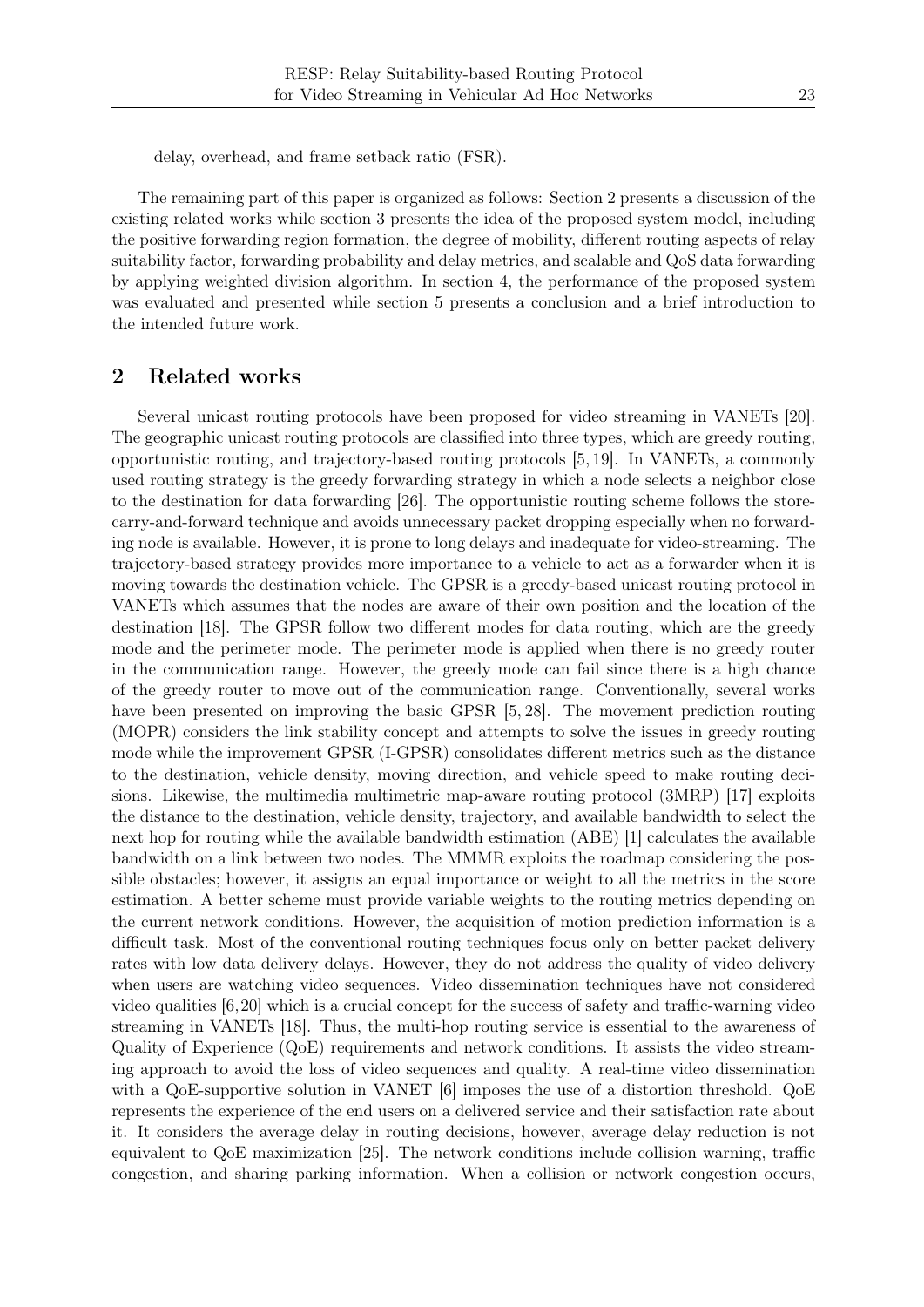delay, overhead, and frame setback ratio (FSR).

The remaining part of this paper is organized as follows: Section 2 presents a discussion of the existing related works while section 3 presents the idea of the proposed system model, including the positive forwarding region formation, the degree of mobility, different routing aspects of relay suitability factor, forwarding probability and delay metrics, and scalable and QoS data forwarding by applying weighted division algorithm. In section 4, the performance of the proposed system was evaluated and presented while section 5 presents a conclusion and a brief introduction to the intended future work.

# 2 Related works

Several unicast routing protocols have been proposed for video streaming in VANETs [20]. The geographic unicast routing protocols are classified into three types, which are greedy routing, opportunistic routing, and trajectory-based routing protocols [5, 19]. In VANETs, a commonly used routing strategy is the greedy forwarding strategy in which a node selects a neighbor close to the destination for data forwarding [26]. The opportunistic routing scheme follows the storecarry-and-forward technique and avoids unnecessary packet dropping especially when no forwarding node is available. However, it is prone to long delays and inadequate for video-streaming. The trajectory-based strategy provides more importance to a vehicle to act as a forwarder when it is moving towards the destination vehicle. The GPSR is a greedy-based unicast routing protocol in VANETs which assumes that the nodes are aware of their own position and the location of the destination [18]. The GPSR follow two different modes for data routing, which are the greedy mode and the perimeter mode. The perimeter mode is applied when there is no greedy router in the communication range. However, the greedy mode can fail since there is a high chance of the greedy router to move out of the communication range. Conventionally, several works have been presented on improving the basic GPSR [5, 28]. The movement prediction routing (MOPR) considers the link stability concept and attempts to solve the issues in greedy routing mode while the improvement GPSR (I-GPSR) consolidates different metrics such as the distance to the destination, vehicle density, moving direction, and vehicle speed to make routing decisions. Likewise, the multimedia multimetric map-aware routing protocol (3MRP) [17] exploits the distance to the destination, vehicle density, trajectory, and available bandwidth to select the next hop for routing while the available bandwidth estimation (ABE) [1] calculates the available bandwidth on a link between two nodes. The MMMR exploits the roadmap considering the possible obstacles; however, it assigns an equal importance or weight to all the metrics in the score estimation. A better scheme must provide variable weights to the routing metrics depending on the current network conditions. However, the acquisition of motion prediction information is a difficult task. Most of the conventional routing techniques focus only on better packet delivery rates with low data delivery delays. However, they do not address the quality of video delivery when users are watching video sequences. Video dissemination techniques have not considered video qualities [6,20] which is a crucial concept for the success of safety and traffic-warning video streaming in VANETs [18]. Thus, the multi-hop routing service is essential to the awareness of Quality of Experience (QoE) requirements and network conditions. It assists the video streaming approach to avoid the loss of video sequences and quality. A real-time video dissemination with a QoE-supportive solution in VANET  $[6]$  imposes the use of a distortion threshold. QoE represents the experience of the end users on a delivered service and their satisfaction rate about it. It considers the average delay in routing decisions, however, average delay reduction is not equivalent to QoE maximization [25]. The network conditions include collision warning, traffic congestion, and sharing parking information. When a collision or network congestion occurs,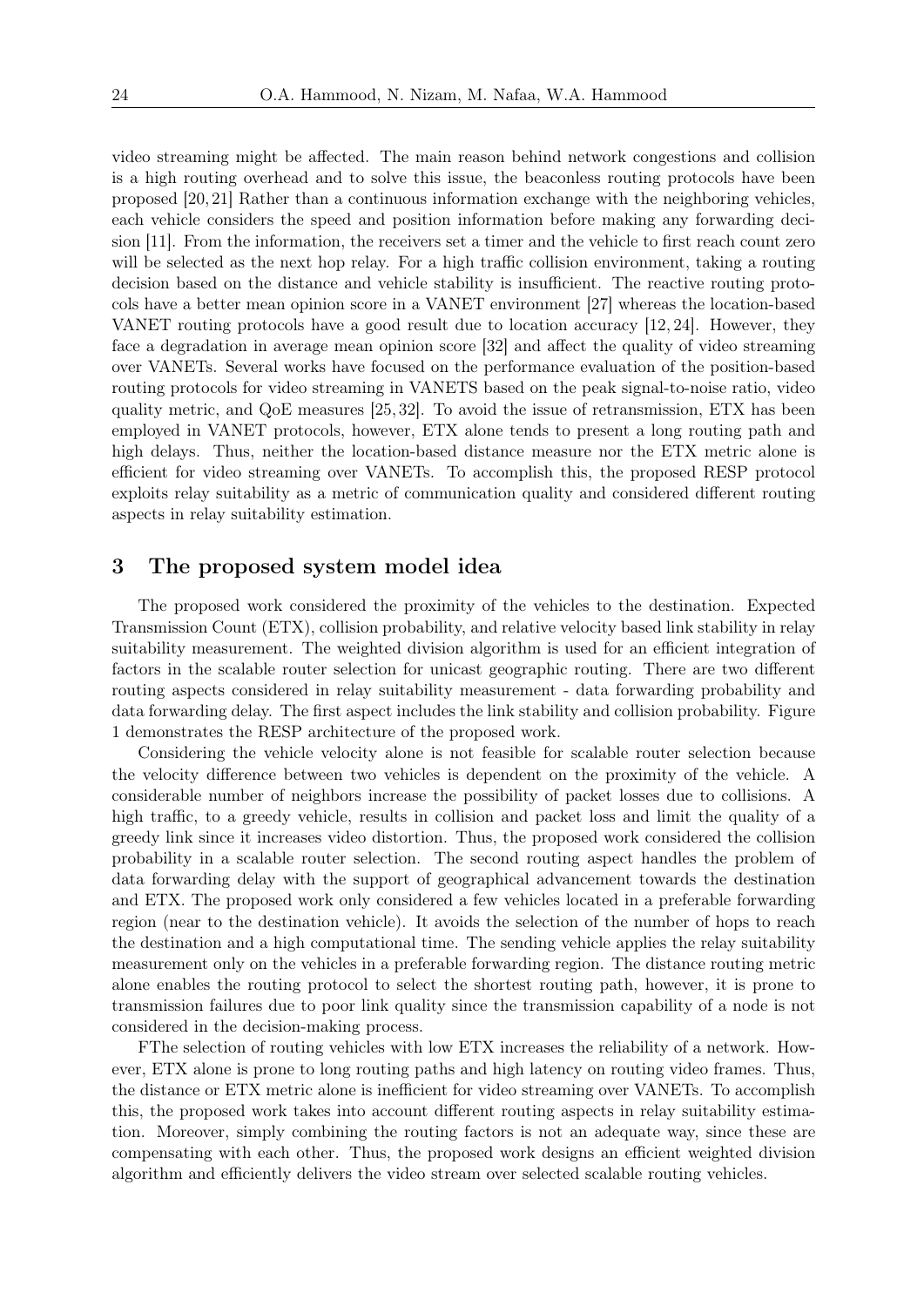video streaming might be affected. The main reason behind network congestions and collision is a high routing overhead and to solve this issue, the beaconless routing protocols have been proposed [20, 21] Rather than a continuous information exchange with the neighboring vehicles, each vehicle considers the speed and position information before making any forwarding decision [11]. From the information, the receivers set a timer and the vehicle to first reach count zero will be selected as the next hop relay. For a high traffic collision environment, taking a routing decision based on the distance and vehicle stability is insufficient. The reactive routing protocols have a better mean opinion score in a VANET environment [27] whereas the location-based VANET routing protocols have a good result due to location accuracy [12, 24]. However, they face a degradation in average mean opinion score [32] and affect the quality of video streaming over VANETs. Several works have focused on the performance evaluation of the position-based routing protocols for video streaming in VANETS based on the peak signal-to-noise ratio, video quality metric, and QoE measures [25, 32]. To avoid the issue of retransmission, ETX has been employed in VANET protocols, however, ETX alone tends to present a long routing path and high delays. Thus, neither the location-based distance measure nor the ETX metric alone is efficient for video streaming over VANETs. To accomplish this, the proposed RESP protocol exploits relay suitability as a metric of communication quality and considered different routing aspects in relay suitability estimation.

#### 3 The proposed system model idea

The proposed work considered the proximity of the vehicles to the destination. Expected Transmission Count (ETX), collision probability, and relative velocity based link stability in relay suitability measurement. The weighted division algorithm is used for an efficient integration of factors in the scalable router selection for unicast geographic routing. There are two different routing aspects considered in relay suitability measurement - data forwarding probability and data forwarding delay. The first aspect includes the link stability and collision probability. Figure 1 demonstrates the RESP architecture of the proposed work.

Considering the vehicle velocity alone is not feasible for scalable router selection because the velocity difference between two vehicles is dependent on the proximity of the vehicle. A considerable number of neighbors increase the possibility of packet losses due to collisions. A high traffic, to a greedy vehicle, results in collision and packet loss and limit the quality of a greedy link since it increases video distortion. Thus, the proposed work considered the collision probability in a scalable router selection. The second routing aspect handles the problem of data forwarding delay with the support of geographical advancement towards the destination and ETX. The proposed work only considered a few vehicles located in a preferable forwarding region (near to the destination vehicle). It avoids the selection of the number of hops to reach the destination and a high computational time. The sending vehicle applies the relay suitability measurement only on the vehicles in a preferable forwarding region. The distance routing metric alone enables the routing protocol to select the shortest routing path, however, it is prone to transmission failures due to poor link quality since the transmission capability of a node is not considered in the decision-making process.

FThe selection of routing vehicles with low ETX increases the reliability of a network. However, ETX alone is prone to long routing paths and high latency on routing video frames. Thus, the distance or ETX metric alone is inefficient for video streaming over VANETs. To accomplish this, the proposed work takes into account different routing aspects in relay suitability estimation. Moreover, simply combining the routing factors is not an adequate way, since these are compensating with each other. Thus, the proposed work designs an efficient weighted division algorithm and efficiently delivers the video stream over selected scalable routing vehicles.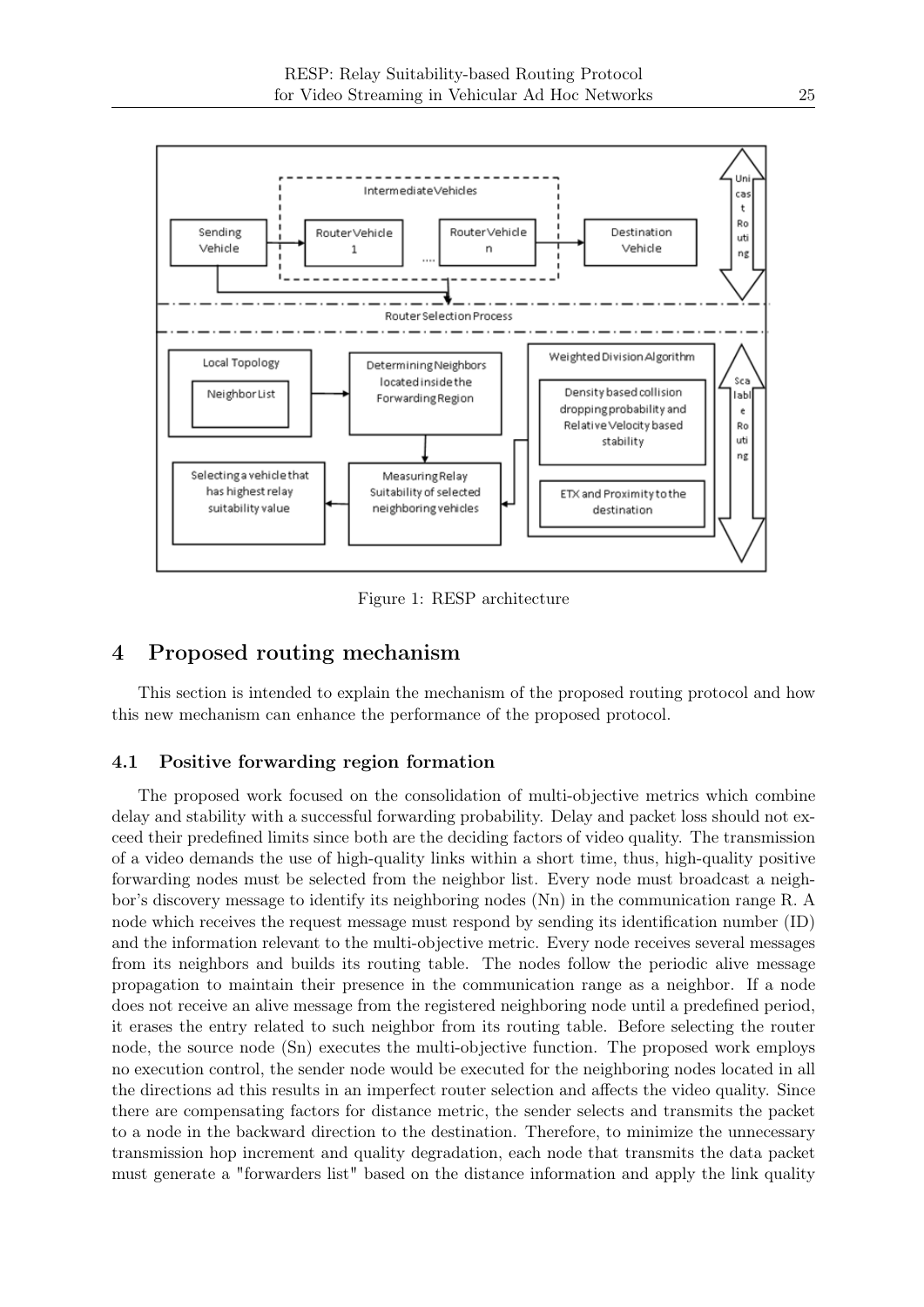

Figure 1: RESP architecture

# 4 Proposed routing mechanism

This section is intended to explain the mechanism of the proposed routing protocol and how this new mechanism can enhance the performance of the proposed protocol.

#### 4.1 Positive forwarding region formation

The proposed work focused on the consolidation of multi-objective metrics which combine delay and stability with a successful forwarding probability. Delay and packet loss should not exceed their predefined limits since both are the deciding factors of video quality. The transmission of a video demands the use of high-quality links within a short time, thus, high-quality positive forwarding nodes must be selected from the neighbor list. Every node must broadcast a neighbor's discovery message to identify its neighboring nodes (Nn) in the communication range R. A node which receives the request message must respond by sending its identification number (ID) and the information relevant to the multi-objective metric. Every node receives several messages from its neighbors and builds its routing table. The nodes follow the periodic alive message propagation to maintain their presence in the communication range as a neighbor. If a node does not receive an alive message from the registered neighboring node until a predefined period, it erases the entry related to such neighbor from its routing table. Before selecting the router node, the source node (Sn) executes the multi-objective function. The proposed work employs no execution control, the sender node would be executed for the neighboring nodes located in all the directions ad this results in an imperfect router selection and affects the video quality. Since there are compensating factors for distance metric, the sender selects and transmits the packet to a node in the backward direction to the destination. Therefore, to minimize the unnecessary transmission hop increment and quality degradation, each node that transmits the data packet must generate a "forwarders list" based on the distance information and apply the link quality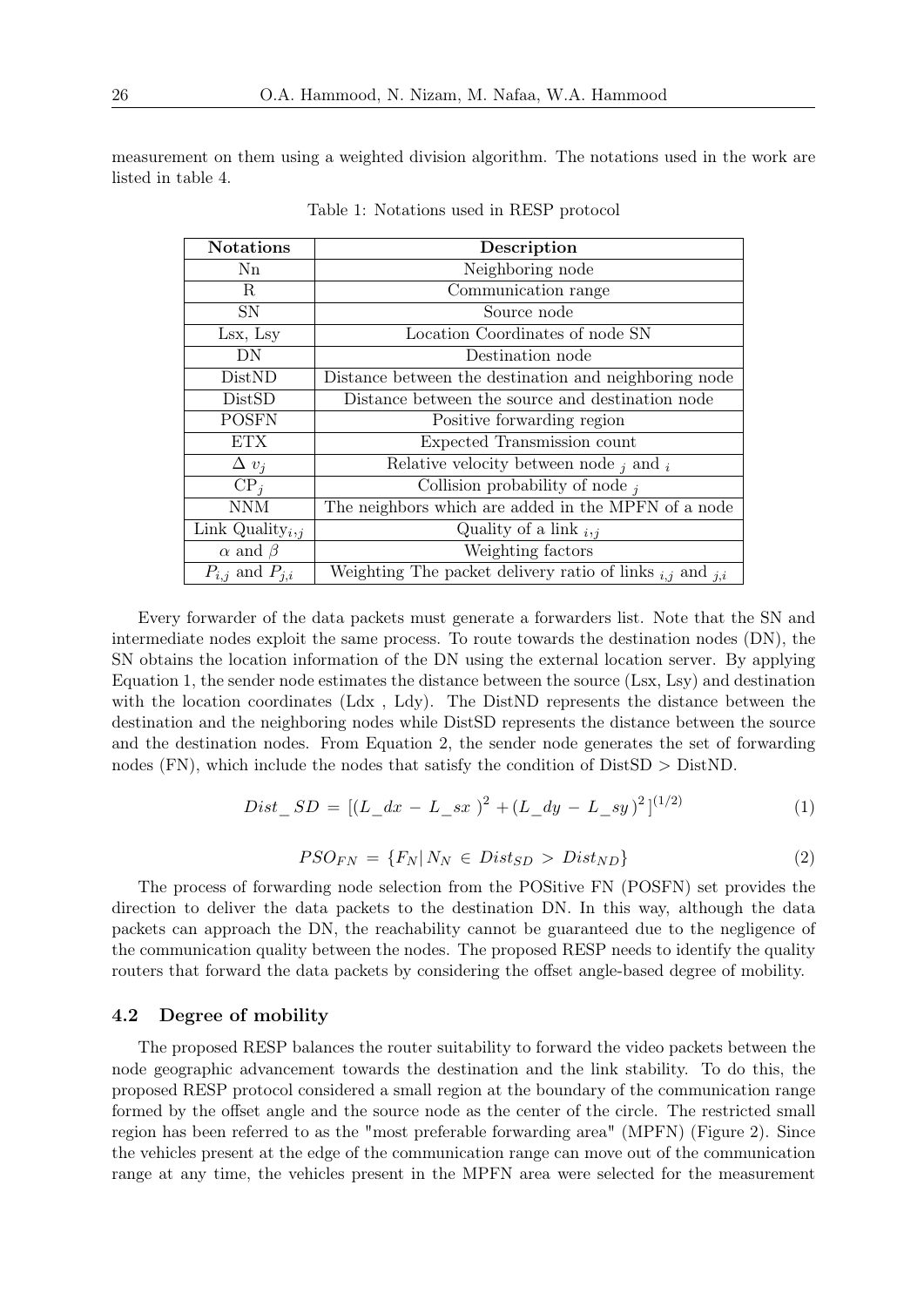measurement on them using a weighted division algorithm. The notations used in the work are listed in table 4.

| <b>Notations</b>        | Description                                                        |
|-------------------------|--------------------------------------------------------------------|
| $\rm Nn$                | Neighboring node                                                   |
| R                       | Communication range                                                |
| SN                      | Source node                                                        |
| Lsx, Lsy                | Location Coordinates of node SN                                    |
| DN                      | Destination node                                                   |
| DistND                  | Distance between the destination and neighboring node              |
| DistSD                  | Distance between the source and destination node                   |
| <b>POSFN</b>            | Positive forwarding region                                         |
| <b>ETX</b>              | Expected Transmission count                                        |
| $\Delta v_i$            | Relative velocity between node $_i$ and $_i$                       |
| $CP_i$                  | Collision probability of node $_i$                                 |
| <b>NNM</b>              | The neighbors which are added in the MPFN of a node                |
| Link Quality $_{i,j}$   | Quality of a link $_{i,j}$                                         |
| $\alpha$ and $\beta$    | Weighting factors                                                  |
| $P_{i,j}$ and $P_{j,i}$ | Weighting The packet delivery ratio of links $_{i,j}$ and $_{j,i}$ |

Table 1: Notations used in RESP protocol

Every forwarder of the data packets must generate a forwarders list. Note that the SN and intermediate nodes exploit the same process. To route towards the destination nodes (DN), the SN obtains the location information of the DN using the external location server. By applying Equation 1, the sender node estimates the distance between the source (Lsx, Lsy) and destination with the location coordinates (Ldx , Ldy). The DistND represents the distance between the destination and the neighboring nodes while DistSD represents the distance between the source and the destination nodes. From Equation 2, the sender node generates the set of forwarding nodes  $(FN)$ , which include the nodes that satisfy the condition of  $DistSD > DistND$ .

$$
Dist\_SD = [(L\_dx - L\_sx)^{2} + (L\_dy - L\_sy)^{2}]^{(1/2)}
$$
\n(1)

$$
PSO_{FN} = \{F_N | N_N \in Dist_{SD} > Dist_{ND}\}\tag{2}
$$

The process of forwarding node selection from the POSitive FN (POSFN) set provides the direction to deliver the data packets to the destination DN. In this way, although the data packets can approach the DN, the reachability cannot be guaranteed due to the negligence of the communication quality between the nodes. The proposed RESP needs to identify the quality routers that forward the data packets by considering the offset angle-based degree of mobility.

#### 4.2 Degree of mobility

The proposed RESP balances the router suitability to forward the video packets between the node geographic advancement towards the destination and the link stability. To do this, the proposed RESP protocol considered a small region at the boundary of the communication range formed by the offset angle and the source node as the center of the circle. The restricted small region has been referred to as the "most preferable forwarding area" (MPFN) (Figure 2). Since the vehicles present at the edge of the communication range can move out of the communication range at any time, the vehicles present in the MPFN area were selected for the measurement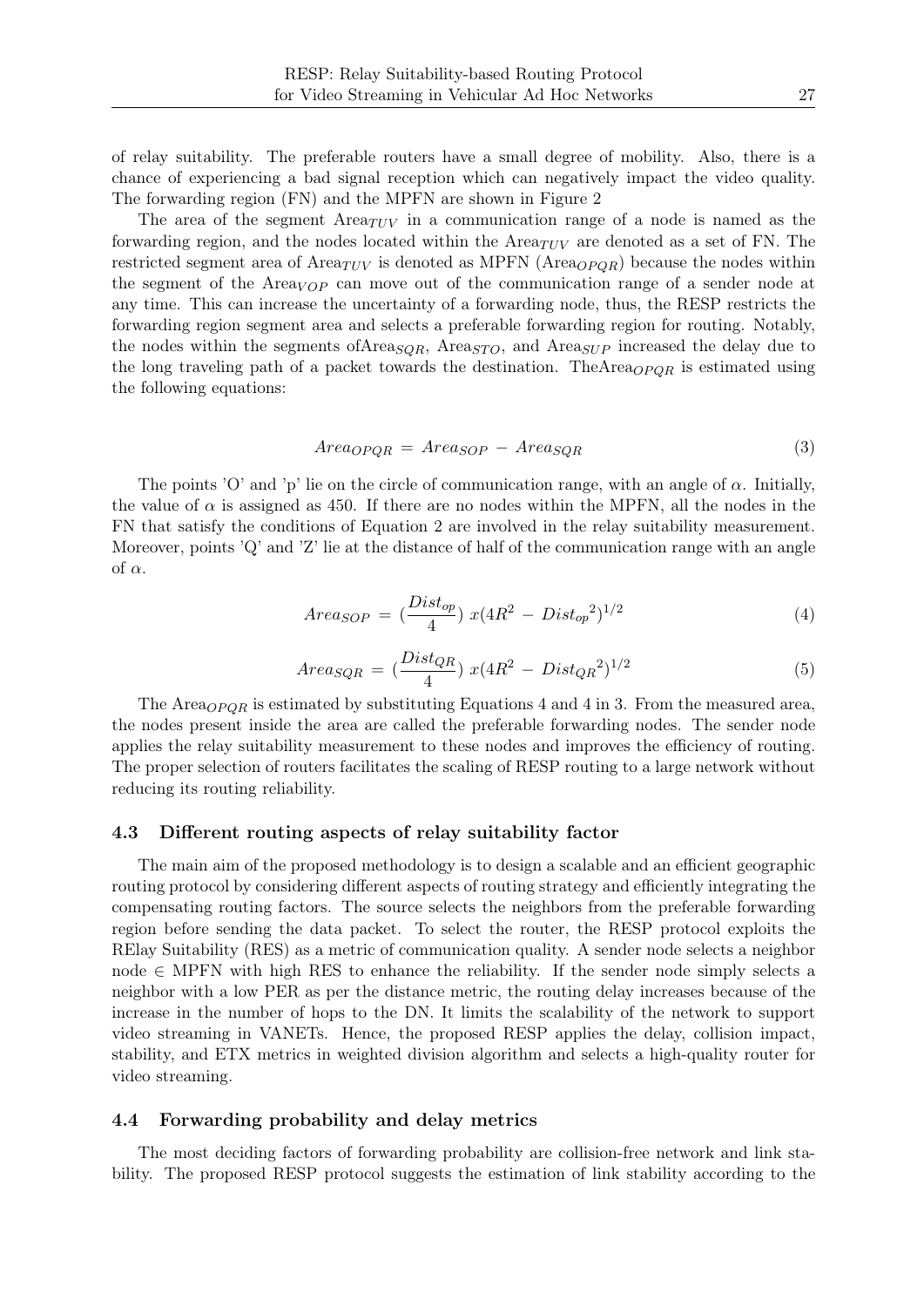of relay suitability. The preferable routers have a small degree of mobility. Also, there is a chance of experiencing a bad signal reception which can negatively impact the video quality. The forwarding region (FN) and the MPFN are shown in Figure 2

The area of the segment  $Area_{TUV}$  in a communication range of a node is named as the forwarding region, and the nodes located within the  $Area_{TUV}$  are denoted as a set of FN. The restricted segment area of Area $_{TUV}$  is denoted as MPFN (Area $_{OPQR}$ ) because the nodes within the segment of the Area<sub>VOP</sub> can move out of the communication range of a sender node at any time. This can increase the uncertainty of a forwarding node, thus, the RESP restricts the forwarding region segment area and selects a preferable forwarding region for routing. Notably, the nodes within the segments of Area<sub>SQR</sub>, Area<sub>STO</sub>, and Area<sub>SUP</sub> increased the delay due to the long traveling path of a packet towards the destination. TheArea $_{OPOR}$  is estimated using the following equations:

$$
Area_{OPQR} = Area_{SOP} - Area_{SQR}
$$
\n(3)

The points 'O' and 'p' lie on the circle of communication range, with an angle of  $\alpha$ . Initially, the value of  $\alpha$  is assigned as 450. If there are no nodes within the MPFN, all the nodes in the FN that satisfy the conditions of Equation 2 are involved in the relay suitability measurement. Moreover, points  $'Q'$  and  $'Z'$  lie at the distance of half of the communication range with an angle of  $\alpha$ .

$$
Area_{SOP} = \left(\frac{Dist_{op}}{4}\right) x (4R^2 - Dist_{op}^2)^{1/2} \tag{4}
$$

$$
Area_{SQR} = \left(\frac{Dist_{QR}}{4}\right)x(4R^2 - Dist_{QR}^2)^{1/2}
$$
\n(5)

The Area<sub>OPOR</sub> is estimated by substituting Equations 4 and 4 in 3. From the measured area, the nodes present inside the area are called the preferable forwarding nodes. The sender node applies the relay suitability measurement to these nodes and improves the efficiency of routing. The proper selection of routers facilitates the scaling of RESP routing to a large network without reducing its routing reliability.

#### 4.3 Different routing aspects of relay suitability factor

The main aim of the proposed methodology is to design a scalable and an efficient geographic routing protocol by considering different aspects of routing strategy and efficiently integrating the compensating routing factors. The source selects the neighbors from the preferable forwarding region before sending the data packet. To select the router, the RESP protocol exploits the RElay Suitability (RES) as a metric of communication quality. A sender node selects a neighbor node  $\in$  MPFN with high RES to enhance the reliability. If the sender node simply selects a neighbor with a low PER as per the distance metric, the routing delay increases because of the increase in the number of hops to the DN. It limits the scalability of the network to support video streaming in VANETs. Hence, the proposed RESP applies the delay, collision impact, stability, and ETX metrics in weighted division algorithm and selects a high-quality router for video streaming.

#### 4.4 Forwarding probability and delay metrics

The most deciding factors of forwarding probability are collision-free network and link stability. The proposed RESP protocol suggests the estimation of link stability according to the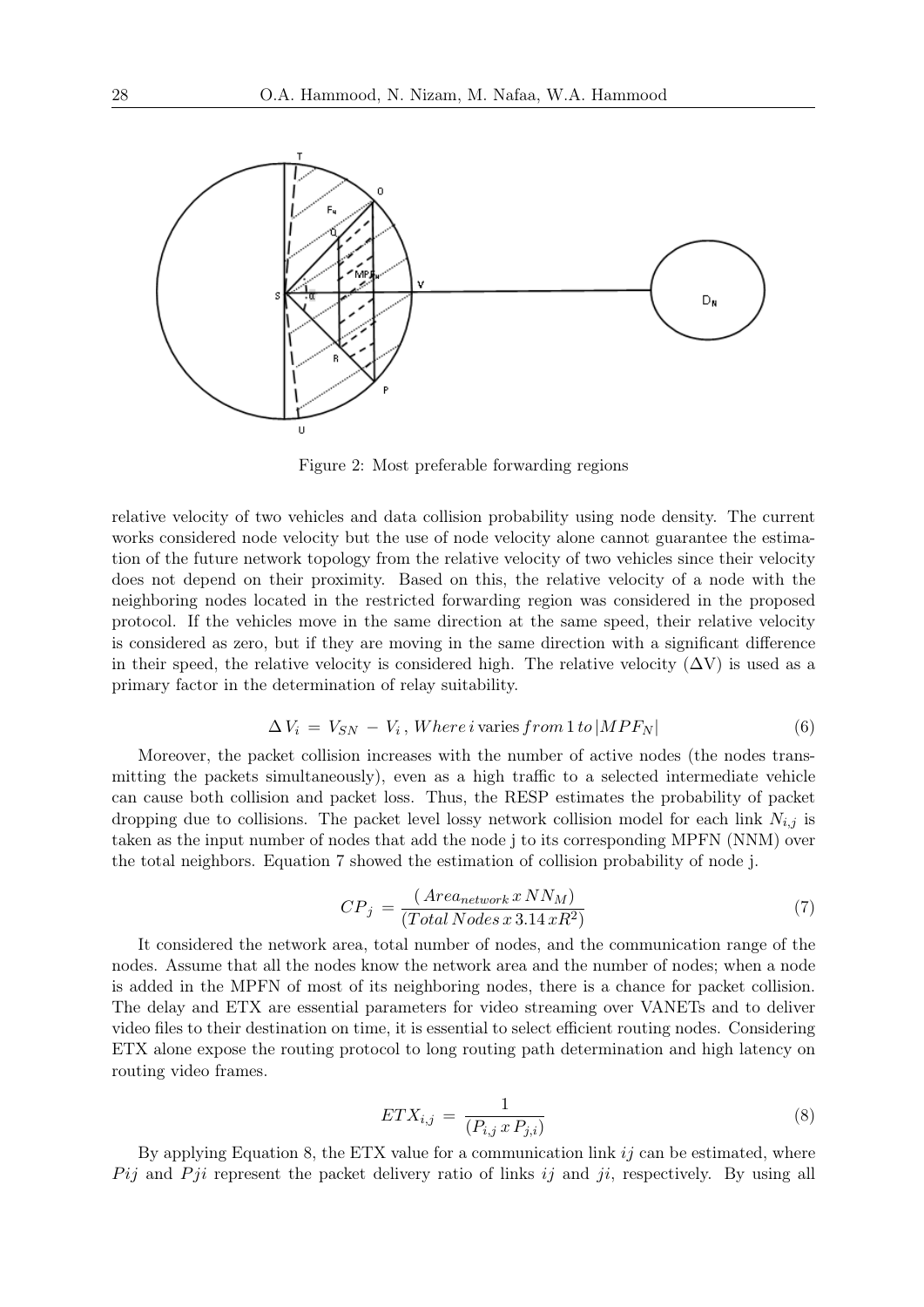

Figure 2: Most preferable forwarding regions

relative velocity of two vehicles and data collision probability using node density. The current works considered node velocity but the use of node velocity alone cannot guarantee the estimation of the future network topology from the relative velocity of two vehicles since their velocity does not depend on their proximity. Based on this, the relative velocity of a node with the neighboring nodes located in the restricted forwarding region was considered in the proposed protocol. If the vehicles move in the same direction at the same speed, their relative velocity is considered as zero, but if they are moving in the same direction with a significant difference in their speed, the relative velocity is considered high. The relative velocity  $(\Delta V)$  is used as a primary factor in the determination of relay suitability.

$$
\Delta V_i = V_{SN} - V_i, Where \, i \, varies from \, 1 \, to \, |MPF_N| \tag{6}
$$

Moreover, the packet collision increases with the number of active nodes (the nodes transmitting the packets simultaneously), even as a high traffic to a selected intermediate vehicle can cause both collision and packet loss. Thus, the RESP estimates the probability of packet dropping due to collisions. The packet level lossy network collision model for each link  $N_{i,j}$  is taken as the input number of nodes that add the node j to its corresponding MPFN (NNM) over the total neighbors. Equation 7 showed the estimation of collision probability of node j.

$$
CP_j = \frac{(Area_{network} x NN_M)}{(Total Nodes x 3.14 xR^2)}
$$
\n<sup>(7)</sup>

It considered the network area, total number of nodes, and the communication range of the nodes. Assume that all the nodes know the network area and the number of nodes; when a node is added in the MPFN of most of its neighboring nodes, there is a chance for packet collision. The delay and ETX are essential parameters for video streaming over VANETs and to deliver video files to their destination on time, it is essential to select efficient routing nodes. Considering ETX alone expose the routing protocol to long routing path determination and high latency on routing video frames.

$$
ETX_{i,j} = \frac{1}{(P_{i,j} \, x \, P_{j,i})} \tag{8}
$$

By applying Equation 8, the ETX value for a communication link  $ij$  can be estimated, where  $P_{ij}$  and  $P_{ji}$  represent the packet delivery ratio of links ij and ji, respectively. By using all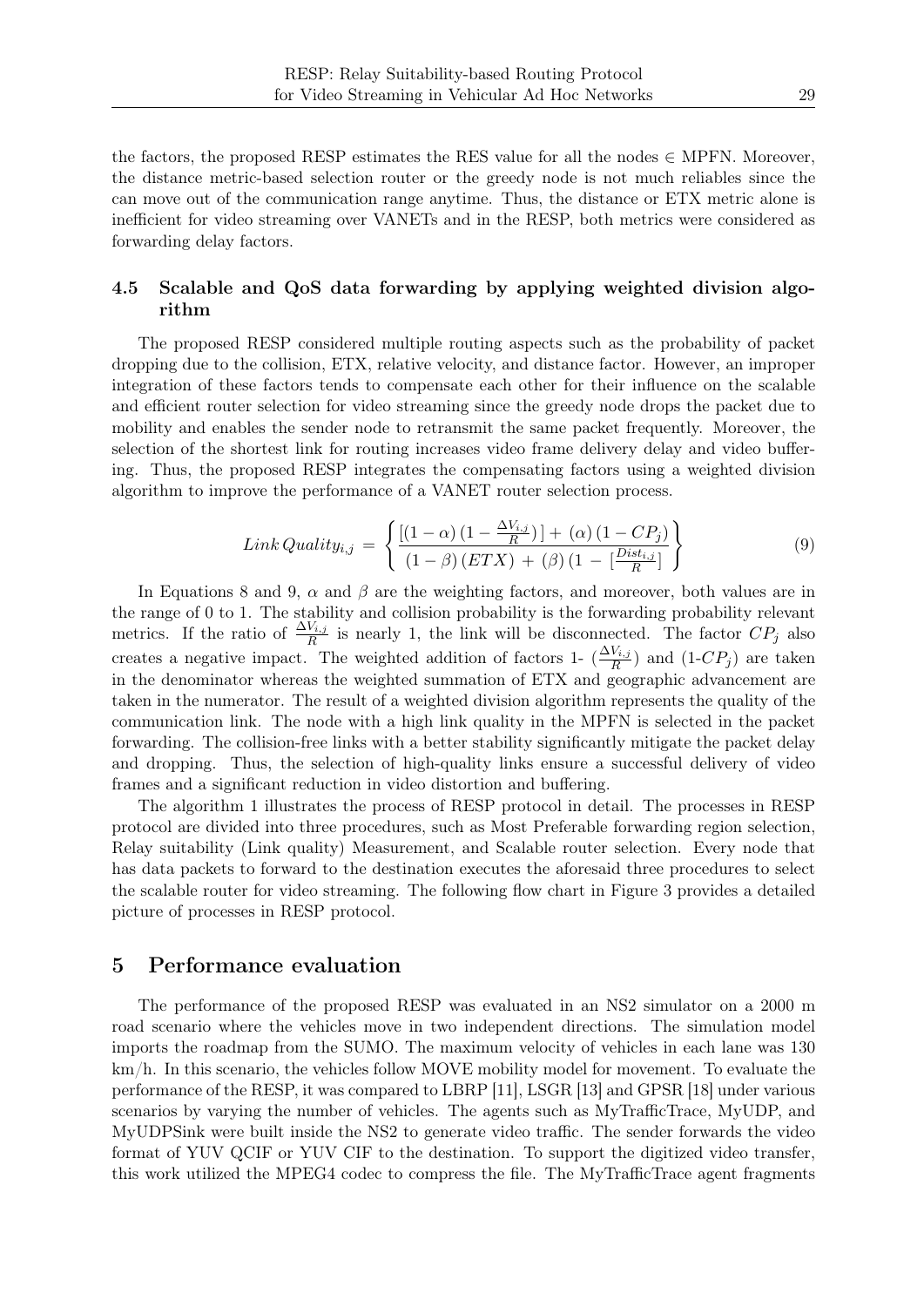the factors, the proposed RESP estimates the RES value for all the nodes  $\in$  MPFN. Moreover, the distance metric-based selection router or the greedy node is not much reliables since the can move out of the communication range anytime. Thus, the distance or ETX metric alone is inefficient for video streaming over VANETs and in the RESP, both metrics were considered as forwarding delay factors.

### 4.5 Scalable and QoS data forwarding by applying weighted division algorithm

The proposed RESP considered multiple routing aspects such as the probability of packet dropping due to the collision, ETX, relative velocity, and distance factor. However, an improper integration of these factors tends to compensate each other for their influence on the scalable and efficient router selection for video streaming since the greedy node drops the packet due to mobility and enables the sender node to retransmit the same packet frequently. Moreover, the selection of the shortest link for routing increases video frame delivery delay and video buffering. Thus, the proposed RESP integrates the compensating factors using a weighted division algorithm to improve the performance of a VANET router selection process.

$$
Link\,Quality_{i,j} = \left\{ \frac{\left[ (1-\alpha)\left(1 - \frac{\Delta V_{i,j}}{R}\right)\right] + (\alpha)\left(1 - CP_j\right)}{\left(1 - \beta\right)(ETX) + (\beta)\left(1 - \left[\frac{Dist_{i,j}}{R}\right]\right)} \right\}
$$
(9)

In Equations 8 and 9,  $\alpha$  and  $\beta$  are the weighting factors, and moreover, both values are in the range of 0 to 1. The stability and collision probability is the forwarding probability relevant metrics. If the ratio of  $\frac{\Delta V_{i,j}}{R}$  is nearly 1, the link will be disconnected. The factor  $CP_j$  also creates a negative impact. The weighted addition of factors 1-  $(\frac{\Delta V_{i,j}}{R})$  and  $(1-CP_j)$  are taken in the denominator whereas the weighted summation of ETX and geographic advancement are taken in the numerator. The result of a weighted division algorithm represents the quality of the communication link. The node with a high link quality in the MPFN is selected in the packet forwarding. The collision-free links with a better stability significantly mitigate the packet delay and dropping. Thus, the selection of high-quality links ensure a successful delivery of video frames and a significant reduction in video distortion and buffering.

The algorithm 1 illustrates the process of RESP protocol in detail. The processes in RESP protocol are divided into three procedures, such as Most Preferable forwarding region selection, Relay suitability (Link quality) Measurement, and Scalable router selection. Every node that has data packets to forward to the destination executes the aforesaid three procedures to select the scalable router for video streaming. The following flow chart in Figure 3 provides a detailed picture of processes in RESP protocol.

### 5 Performance evaluation

The performance of the proposed RESP was evaluated in an NS2 simulator on a 2000 m road scenario where the vehicles move in two independent directions. The simulation model imports the roadmap from the SUMO. The maximum velocity of vehicles in each lane was 130 km/h. In this scenario, the vehicles follow MOVE mobility model for movement. To evaluate the performance of the RESP, it was compared to LBRP [11], LSGR [13] and GPSR [18] under various scenarios by varying the number of vehicles. The agents such as MyTrafficTrace, MyUDP, and MyUDPSink were built inside the NS2 to generate video traffic. The sender forwards the video format of YUV QCIF or YUV CIF to the destination. To support the digitized video transfer, this work utilized the MPEG4 codec to compress the file. The MyTrafficTrace agent fragments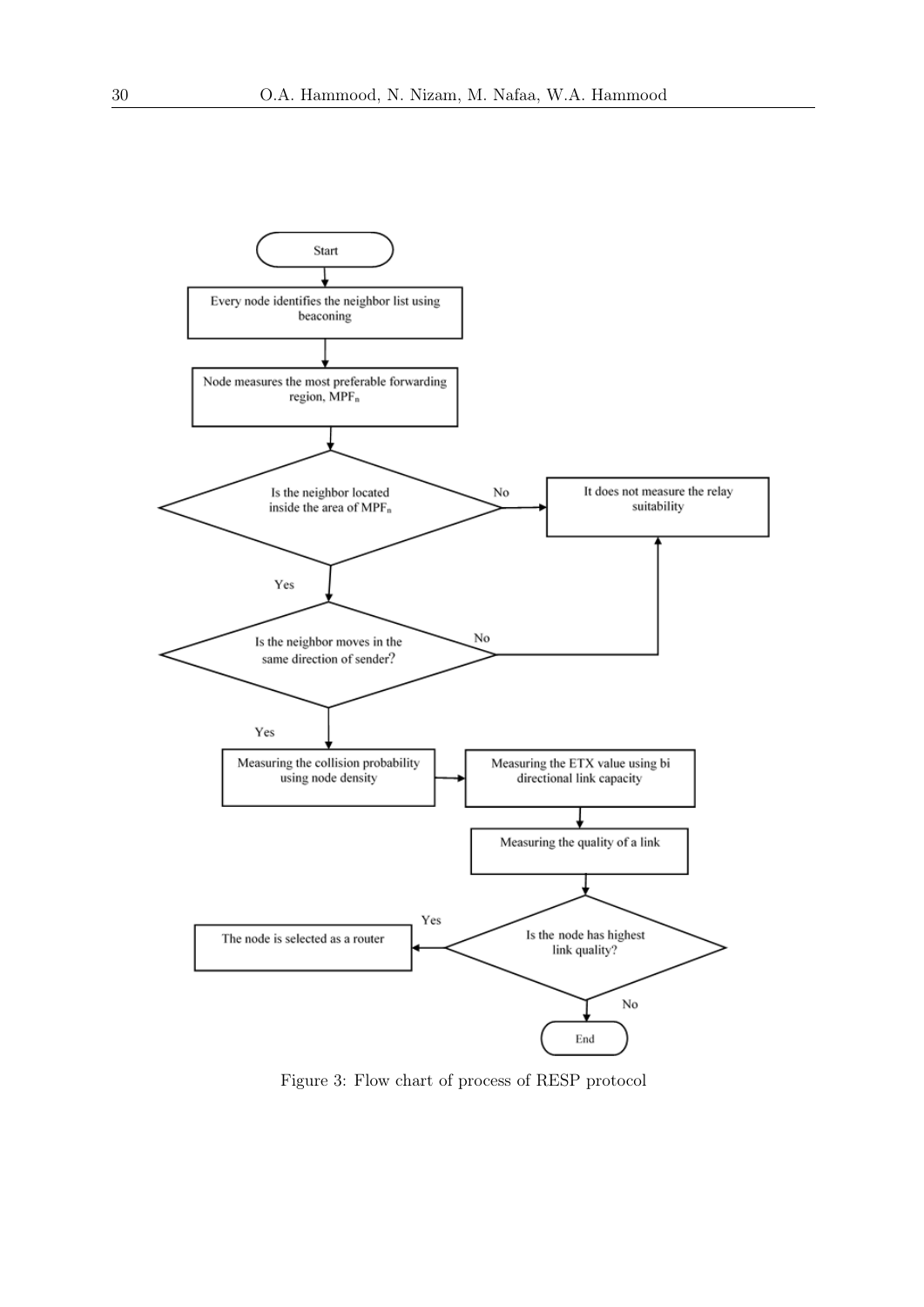

Figure 3: Flow chart of process of RESP protocol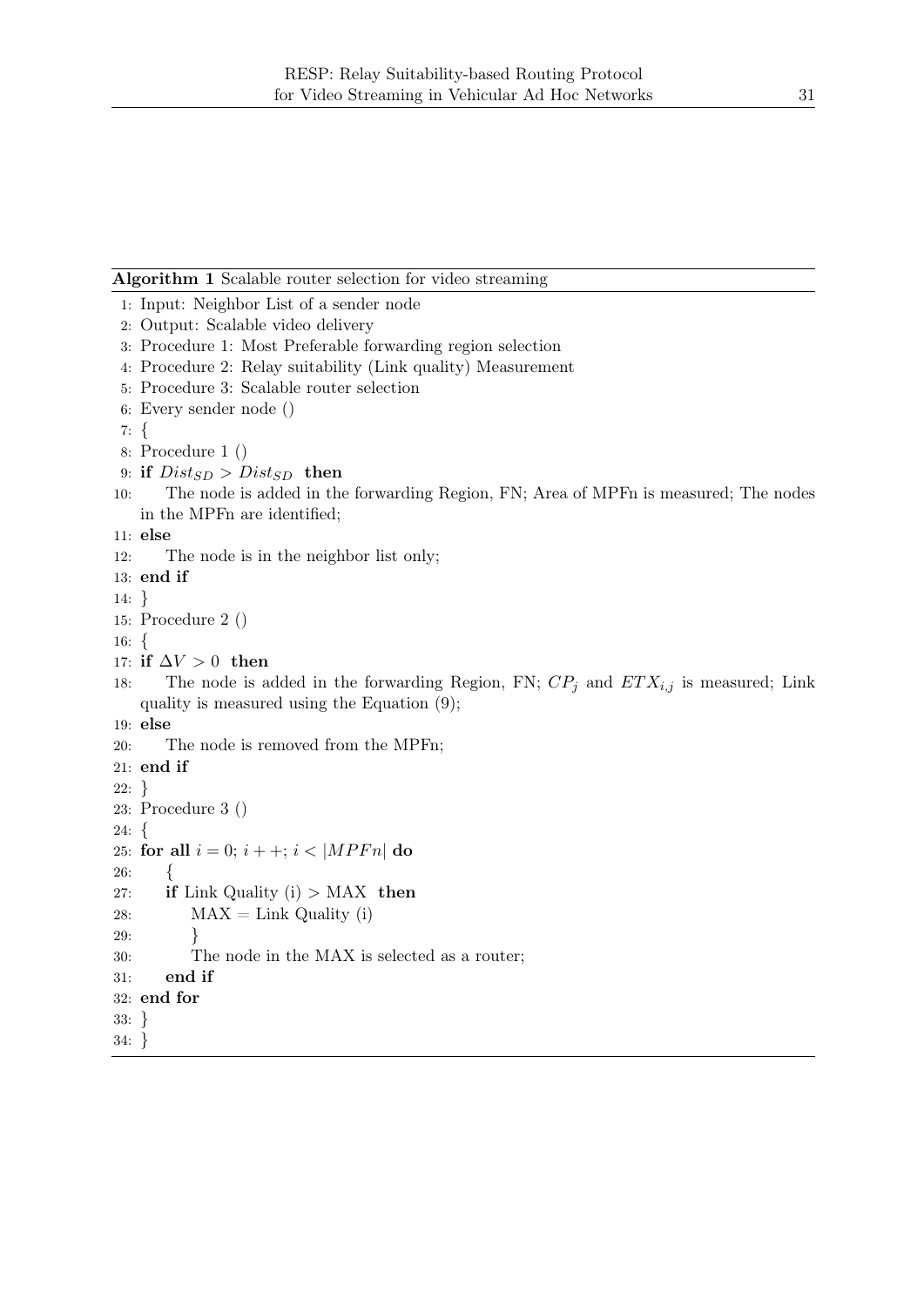#### Algorithm 1 Scalable router selection for video streaming

```
1: Input: Neighbor List of a sender node
2: Output: Scalable video delivery
3: Procedure 1: Most Preferable forwarding region selection
4: Procedure 2: Relay suitability (Link quality) Measurement
5: Procedure 3: Scalable router selection
6: Every sender node ()
7: {
8: Procedure 1 ()
9: if Dist_{SD} > Dist_{SD} then
10: The node is added in the forwarding Region, FN; Area of MPFn is measured; The nodes
   in the MPFn are identified;
11: else
12: The node is in the neighbor list only;
13: end if
14: }
15: Procedure 2 ()
16: {
17: if \Delta V > 0 then
18: The node is added in the forwarding Region, FN; CP_j and ETX_{i,j} is measured; Link
   quality is measured using the Equation (9);
19: else
20: The node is removed from the MPFn;
21: end if
22: }
23: Procedure 3 ()
24: {
25: for all i = 0; i + +; i < |MPFn| do
26: {
27: if Link Quality (i) > MAX then
28: MAX = Link Quality (i)
29: }
30: The node in the MAX is selected as a router;
31: end if
32: end for
33: }
34: }
```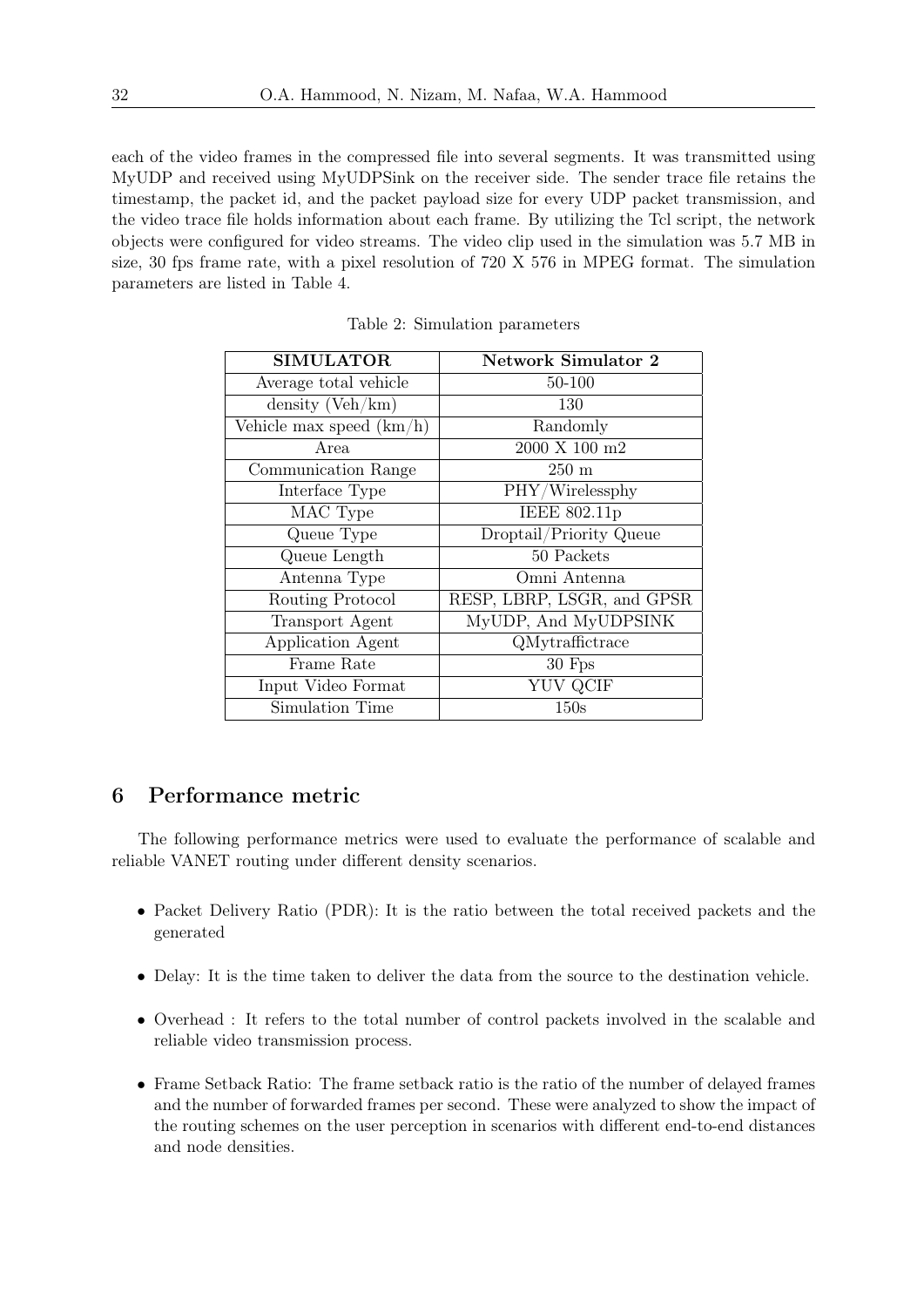each of the video frames in the compressed file into several segments. It was transmitted using MyUDP and received using MyUDPSink on the receiver side. The sender trace file retains the timestamp, the packet id, and the packet payload size for every UDP packet transmission, and the video trace file holds information about each frame. By utilizing the Tcl script, the network objects were configured for video streams. The video clip used in the simulation was 5.7 MB in size, 30 fps frame rate, with a pixel resolution of 720 X 576 in MPEG format. The simulation parameters are listed in Table 4.

| <b>SIMULATOR</b>           | <b>Network Simulator 2</b>   |
|----------------------------|------------------------------|
| Average total vehicle      | 50-100                       |
| density $(Veh/km)$         | 130                          |
| Vehicle max speed $(km/h)$ | Randomly                     |
| Area                       | $2000$ X $100$ $\mathrm{m2}$ |
| Communication Range        | $250 \text{ m}$              |
| Interface Type             | PHY/Wirelessphy              |
| MAC Type                   | IEEE 802.11p                 |
| Queue Type                 | Droptail/Priority Queue      |
| Queue Length               | 50 Packets                   |
| Antenna Type               | Omni Antenna                 |
| Routing Protocol           | RESP, LBRP, LSGR, and GPSR   |
| <b>Transport</b> Agent     | MyUDP, And MyUDPSINK         |
| Application Agent          | QMytraffictrace              |
| Frame Rate                 | $30$ Fps                     |
| Input Video Format         | <b>YUV QCIF</b>              |
| Simulation Time            | 150s                         |

Table 2: Simulation parameters

# 6 Performance metric

The following performance metrics were used to evaluate the performance of scalable and reliable VANET routing under different density scenarios.

- Packet Delivery Ratio (PDR): It is the ratio between the total received packets and the generated
- Delay: It is the time taken to deliver the data from the source to the destination vehicle.
- Overhead : It refers to the total number of control packets involved in the scalable and reliable video transmission process.
- Frame Setback Ratio: The frame setback ratio is the ratio of the number of delayed frames and the number of forwarded frames per second. These were analyzed to show the impact of the routing schemes on the user perception in scenarios with different end-to-end distances and node densities.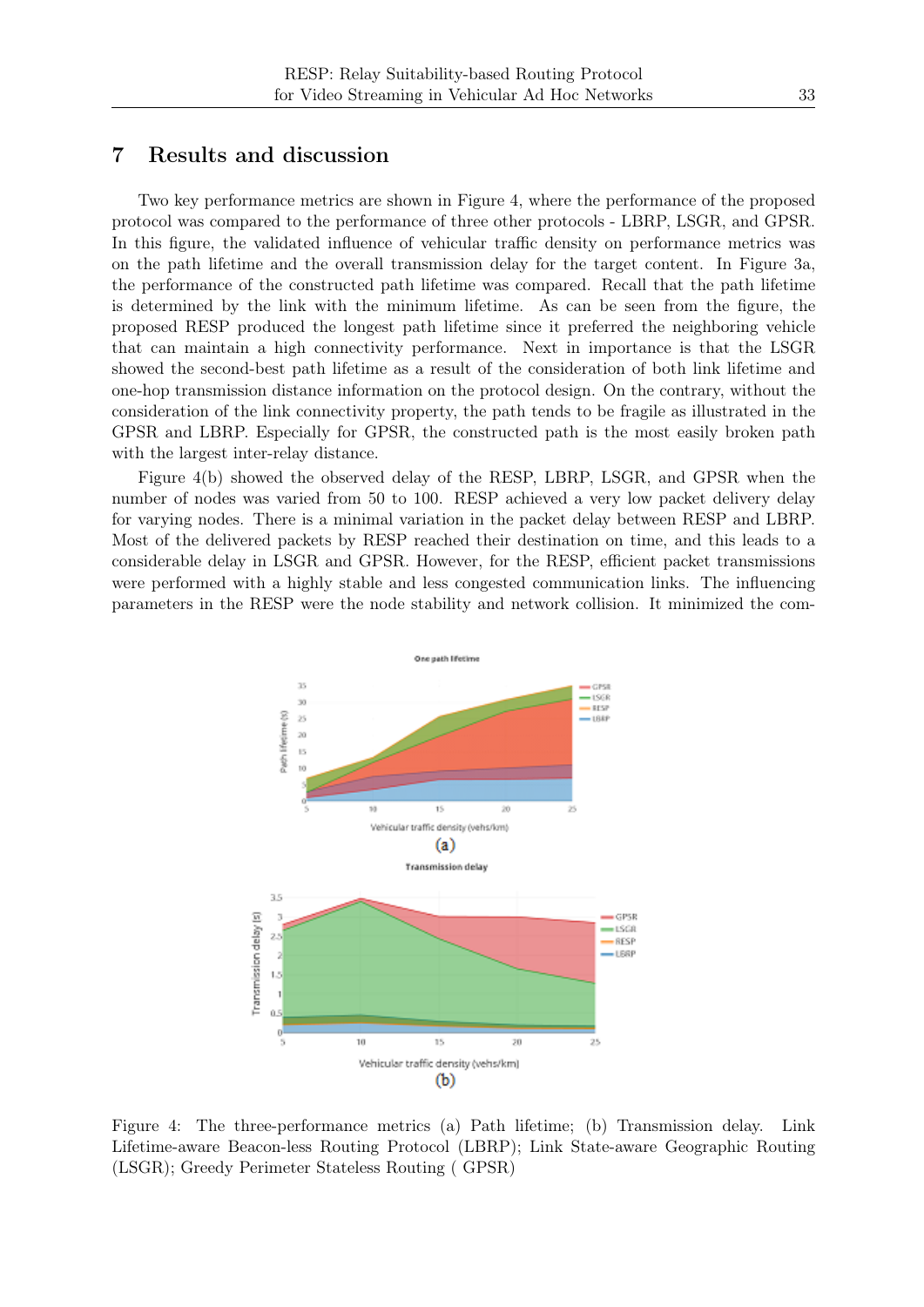#### 7 Results and discussion

Two key performance metrics are shown in Figure 4, where the performance of the proposed protocol was compared to the performance of three other protocols - LBRP, LSGR, and GPSR. In this figure, the validated influence of vehicular traffic density on performance metrics was on the path lifetime and the overall transmission delay for the target content. In Figure 3a, the performance of the constructed path lifetime was compared. Recall that the path lifetime is determined by the link with the minimum lifetime. As can be seen from the figure, the proposed RESP produced the longest path lifetime since it preferred the neighboring vehicle that can maintain a high connectivity performance. Next in importance is that the LSGR showed the second-best path lifetime as a result of the consideration of both link lifetime and one-hop transmission distance information on the protocol design. On the contrary, without the consideration of the link connectivity property, the path tends to be fragile as illustrated in the GPSR and LBRP. Especially for GPSR, the constructed path is the most easily broken path with the largest inter-relay distance.

Figure 4(b) showed the observed delay of the RESP, LBRP, LSGR, and GPSR when the number of nodes was varied from 50 to 100. RESP achieved a very low packet delivery delay for varying nodes. There is a minimal variation in the packet delay between RESP and LBRP. Most of the delivered packets by RESP reached their destination on time, and this leads to a considerable delay in LSGR and GPSR. However, for the RESP, efficient packet transmissions were performed with a highly stable and less congested communication links. The influencing parameters in the RESP were the node stability and network collision. It minimized the com-



Figure 4: The three-performance metrics (a) Path lifetime; (b) Transmission delay. Link Lifetime-aware Beacon-less Routing Protocol (LBRP); Link State-aware Geographic Routing (LSGR); Greedy Perimeter Stateless Routing ( GPSR)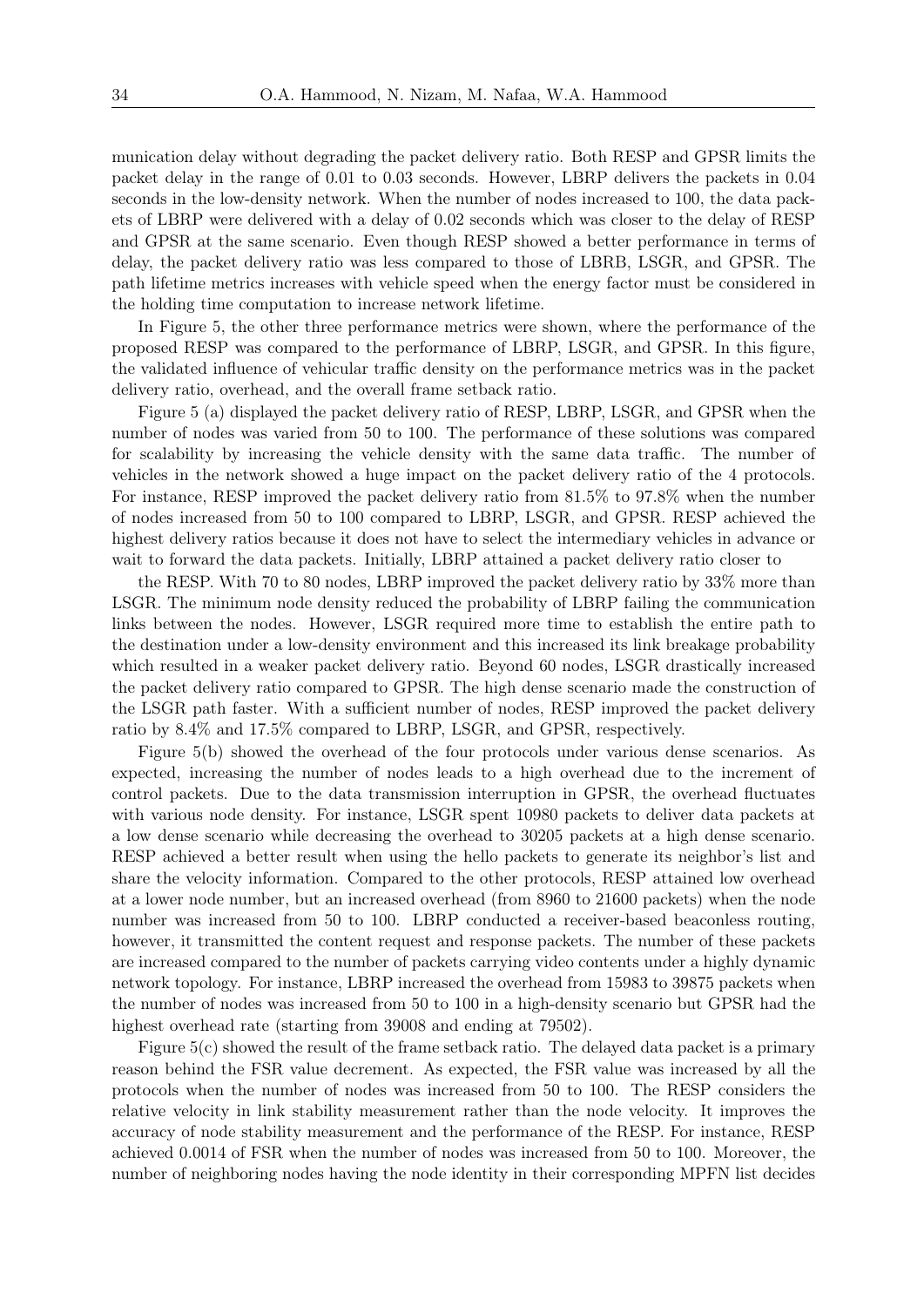munication delay without degrading the packet delivery ratio. Both RESP and GPSR limits the packet delay in the range of 0.01 to 0.03 seconds. However, LBRP delivers the packets in 0.04 seconds in the low-density network. When the number of nodes increased to 100, the data packets of LBRP were delivered with a delay of 0.02 seconds which was closer to the delay of RESP and GPSR at the same scenario. Even though RESP showed a better performance in terms of delay, the packet delivery ratio was less compared to those of LBRB, LSGR, and GPSR. The path lifetime metrics increases with vehicle speed when the energy factor must be considered in the holding time computation to increase network lifetime.

In Figure 5, the other three performance metrics were shown, where the performance of the proposed RESP was compared to the performance of LBRP, LSGR, and GPSR. In this figure, the validated influence of vehicular traffic density on the performance metrics was in the packet delivery ratio, overhead, and the overall frame setback ratio.

Figure 5 (a) displayed the packet delivery ratio of RESP, LBRP, LSGR, and GPSR when the number of nodes was varied from 50 to 100. The performance of these solutions was compared for scalability by increasing the vehicle density with the same data traffic. The number of vehicles in the network showed a huge impact on the packet delivery ratio of the 4 protocols. For instance, RESP improved the packet delivery ratio from 81.5% to 97.8% when the number of nodes increased from 50 to 100 compared to LBRP, LSGR, and GPSR. RESP achieved the highest delivery ratios because it does not have to select the intermediary vehicles in advance or wait to forward the data packets. Initially, LBRP attained a packet delivery ratio closer to

the RESP. With 70 to 80 nodes, LBRP improved the packet delivery ratio by 33% more than LSGR. The minimum node density reduced the probability of LBRP failing the communication links between the nodes. However, LSGR required more time to establish the entire path to the destination under a low-density environment and this increased its link breakage probability which resulted in a weaker packet delivery ratio. Beyond 60 nodes, LSGR drastically increased the packet delivery ratio compared to GPSR. The high dense scenario made the construction of the LSGR path faster. With a sufficient number of nodes, RESP improved the packet delivery ratio by 8.4% and 17.5% compared to LBRP, LSGR, and GPSR, respectively.

Figure 5(b) showed the overhead of the four protocols under various dense scenarios. As expected, increasing the number of nodes leads to a high overhead due to the increment of control packets. Due to the data transmission interruption in GPSR, the overhead fluctuates with various node density. For instance, LSGR spent 10980 packets to deliver data packets at a low dense scenario while decreasing the overhead to 30205 packets at a high dense scenario. RESP achieved a better result when using the hello packets to generate its neighbor's list and share the velocity information. Compared to the other protocols, RESP attained low overhead at a lower node number, but an increased overhead (from 8960 to 21600 packets) when the node number was increased from 50 to 100. LBRP conducted a receiver-based beaconless routing, however, it transmitted the content request and response packets. The number of these packets are increased compared to the number of packets carrying video contents under a highly dynamic network topology. For instance, LBRP increased the overhead from 15983 to 39875 packets when the number of nodes was increased from 50 to 100 in a high-density scenario but GPSR had the highest overhead rate (starting from 39008 and ending at 79502).

Figure 5(c) showed the result of the frame setback ratio. The delayed data packet is a primary reason behind the FSR value decrement. As expected, the FSR value was increased by all the protocols when the number of nodes was increased from 50 to 100. The RESP considers the relative velocity in link stability measurement rather than the node velocity. It improves the accuracy of node stability measurement and the performance of the RESP. For instance, RESP achieved 0.0014 of FSR when the number of nodes was increased from 50 to 100. Moreover, the number of neighboring nodes having the node identity in their corresponding MPFN list decides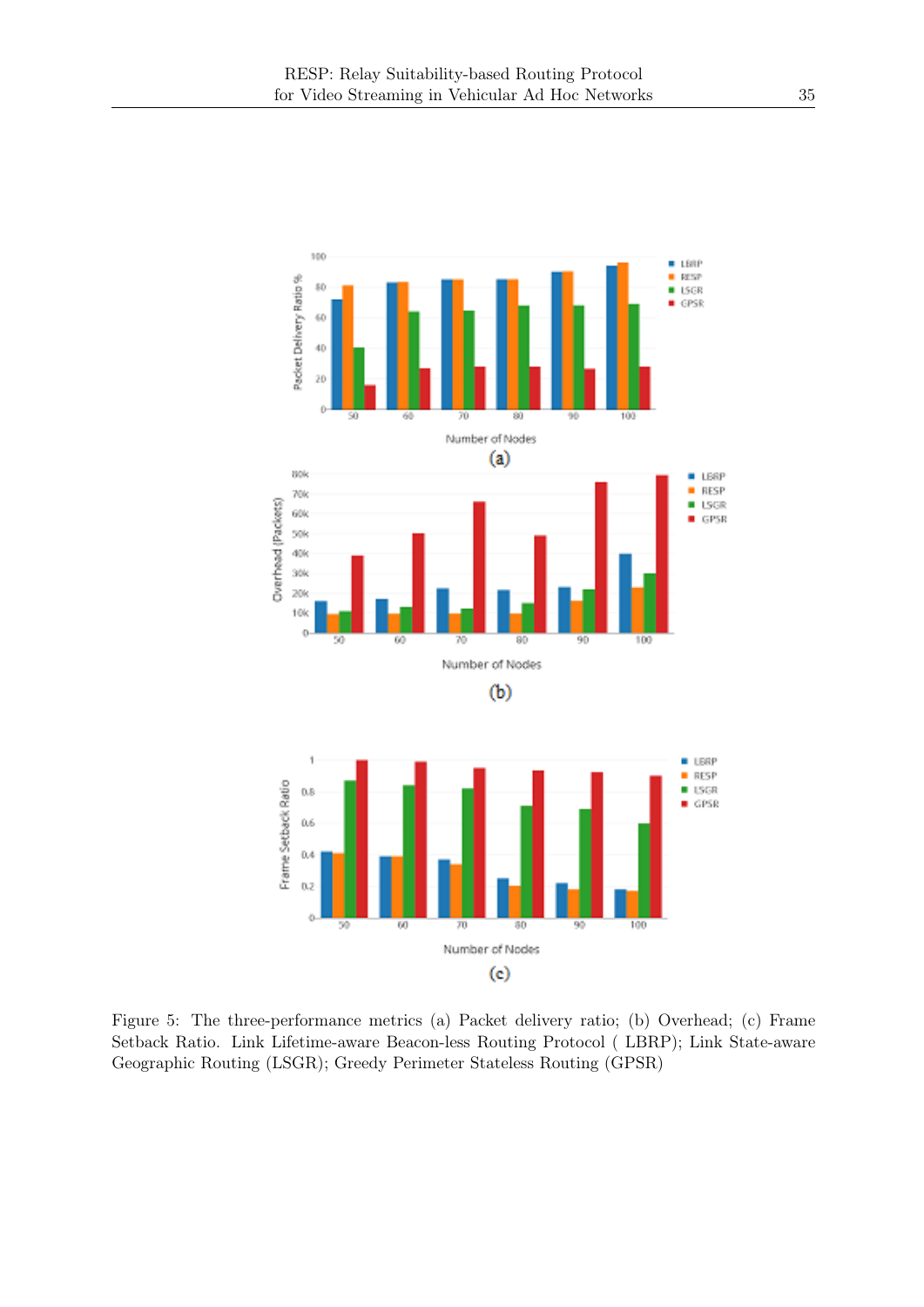

Figure 5: The three-performance metrics (a) Packet delivery ratio; (b) Overhead; (c) Frame Setback Ratio. Link Lifetime-aware Beacon-less Routing Protocol ( LBRP); Link State-aware Geographic Routing (LSGR); Greedy Perimeter Stateless Routing (GPSR)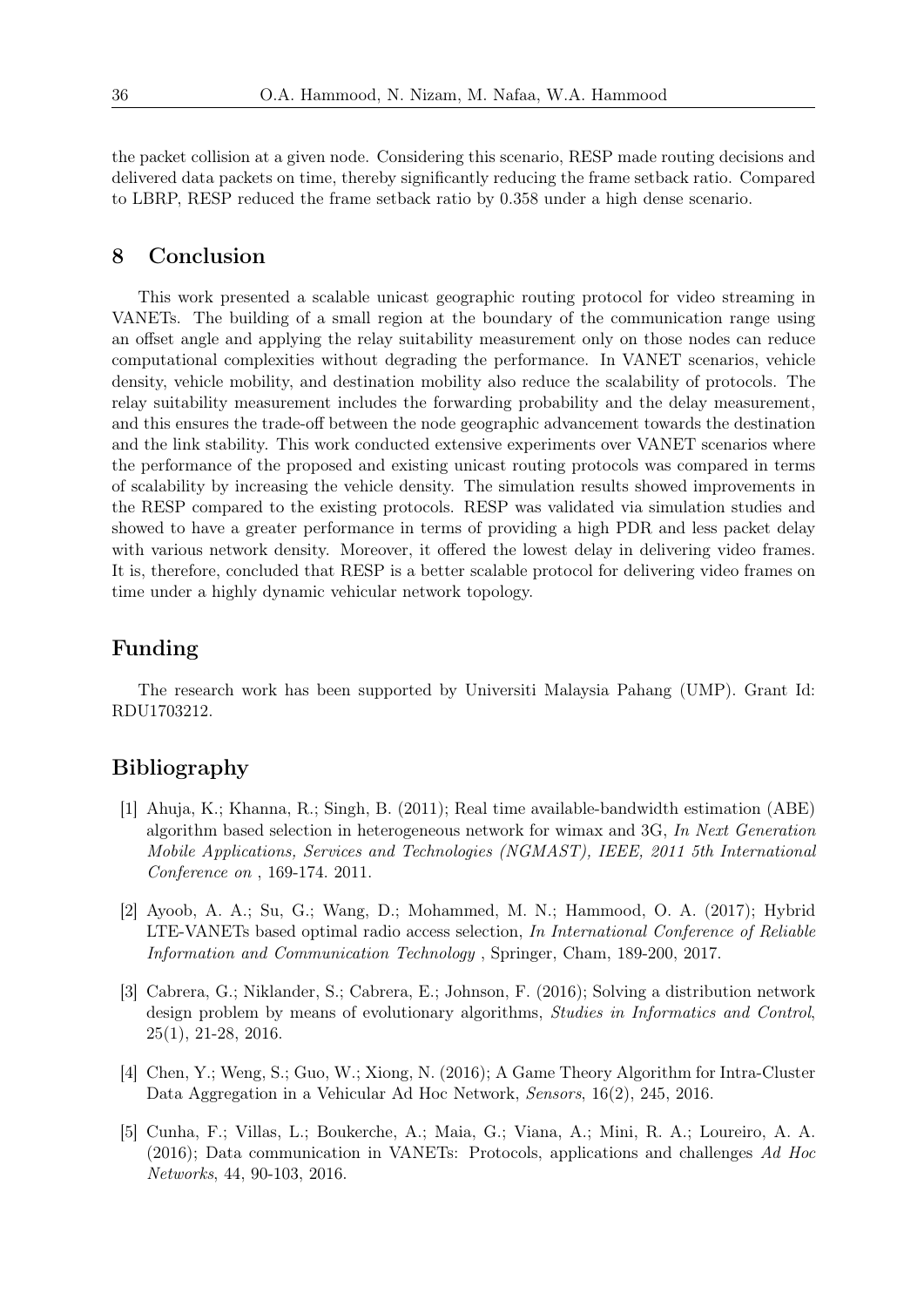the packet collision at a given node. Considering this scenario, RESP made routing decisions and delivered data packets on time, thereby significantly reducing the frame setback ratio. Compared to LBRP, RESP reduced the frame setback ratio by 0.358 under a high dense scenario.

#### 8 Conclusion

This work presented a scalable unicast geographic routing protocol for video streaming in VANETs. The building of a small region at the boundary of the communication range using an offset angle and applying the relay suitability measurement only on those nodes can reduce computational complexities without degrading the performance. In VANET scenarios, vehicle density, vehicle mobility, and destination mobility also reduce the scalability of protocols. The relay suitability measurement includes the forwarding probability and the delay measurement, and this ensures the trade-off between the node geographic advancement towards the destination and the link stability. This work conducted extensive experiments over VANET scenarios where the performance of the proposed and existing unicast routing protocols was compared in terms of scalability by increasing the vehicle density. The simulation results showed improvements in the RESP compared to the existing protocols. RESP was validated via simulation studies and showed to have a greater performance in terms of providing a high PDR and less packet delay with various network density. Moreover, it offered the lowest delay in delivering video frames. It is, therefore, concluded that RESP is a better scalable protocol for delivering video frames on time under a highly dynamic vehicular network topology.

# Funding

The research work has been supported by Universiti Malaysia Pahang (UMP). Grant Id: RDU1703212.

# Bibliography

- [1] Ahuja, K.; Khanna, R.; Singh, B. (2011); Real time available-bandwidth estimation (ABE) algorithm based selection in heterogeneous network for wimax and 3G, In Next Generation Mobile Applications, Services and Technologies (NGMAST), IEEE, 2011 5th International Conference on , 169-174. 2011.
- [2] Ayoob, A. A.; Su, G.; Wang, D.; Mohammed, M. N.; Hammood, O. A. (2017); Hybrid LTE-VANETs based optimal radio access selection, In International Conference of Reliable Information and Communication Technology , Springer, Cham, 189-200, 2017.
- [3] Cabrera, G.; Niklander, S.; Cabrera, E.; Johnson, F. (2016); Solving a distribution network design problem by means of evolutionary algorithms, Studies in Informatics and Control, 25(1), 21-28, 2016.
- [4] Chen, Y.; Weng, S.; Guo, W.; Xiong, N. (2016); A Game Theory Algorithm for Intra-Cluster Data Aggregation in a Vehicular Ad Hoc Network, Sensors, 16(2), 245, 2016.
- [5] Cunha, F.; Villas, L.; Boukerche, A.; Maia, G.; Viana, A.; Mini, R. A.; Loureiro, A. A. (2016); Data communication in VANETs: Protocols, applications and challenges Ad Hoc Networks, 44, 90-103, 2016.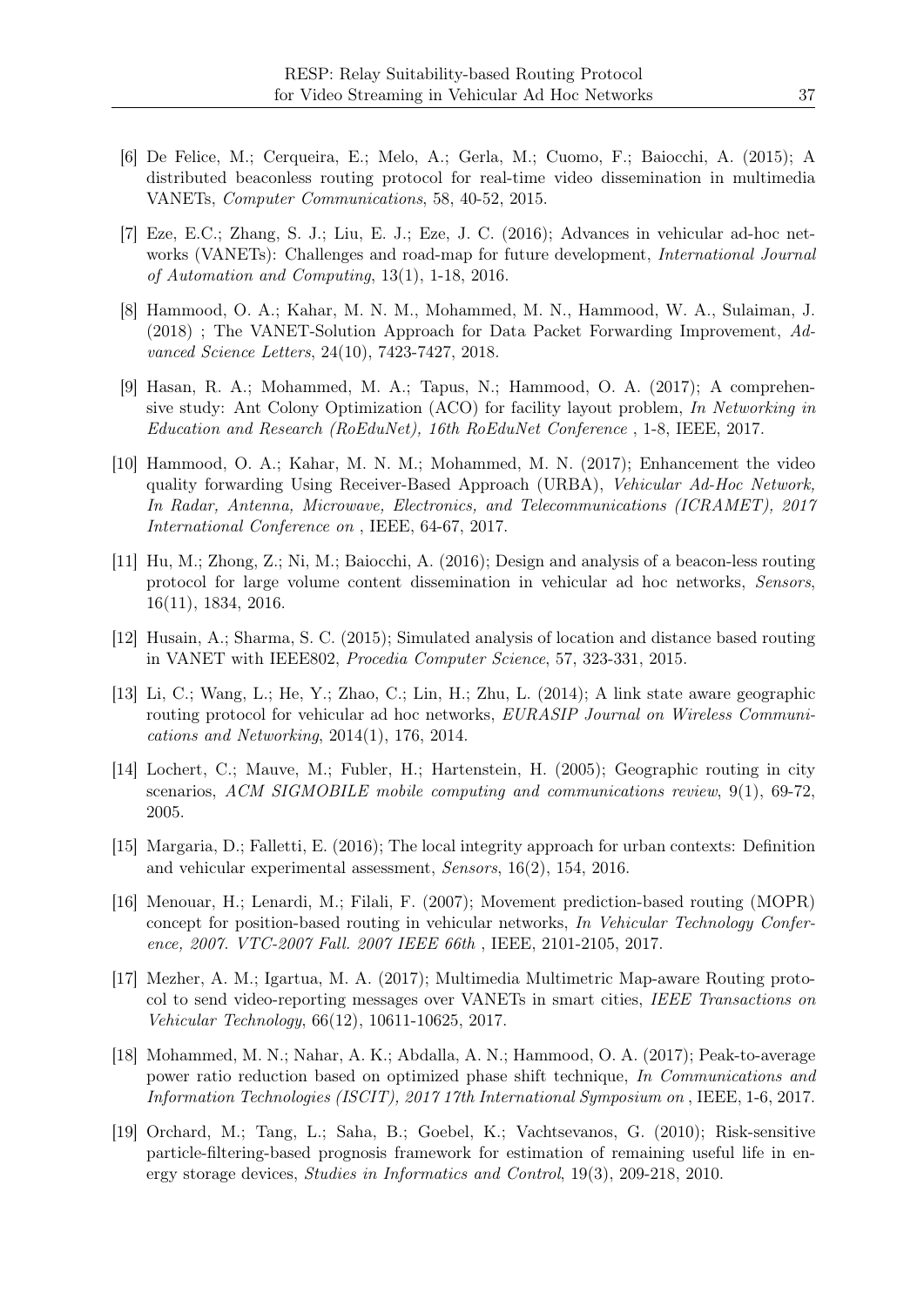- [6] De Felice, M.; Cerqueira, E.; Melo, A.; Gerla, M.; Cuomo, F.; Baiocchi, A. (2015); A distributed beaconless routing protocol for real-time video dissemination in multimedia VANETs, Computer Communications, 58, 40-52, 2015.
- [7] Eze, E.C.; Zhang, S. J.; Liu, E. J.; Eze, J. C. (2016); Advances in vehicular ad-hoc networks (VANETs): Challenges and road-map for future development, *International Journal* of Automation and Computing, 13(1), 1-18, 2016.
- [8] Hammood, O. A.; Kahar, M. N. M., Mohammed, M. N., Hammood, W. A., Sulaiman, J. (2018) ; The VANET-Solution Approach for Data Packet Forwarding Improvement, Advanced Science Letters, 24(10), 7423-7427, 2018.
- [9] Hasan, R. A.; Mohammed, M. A.; Tapus, N.; Hammood, O. A. (2017); A comprehensive study: Ant Colony Optimization (ACO) for facility layout problem, In Networking in Education and Research (RoEduNet), 16th RoEduNet Conference , 1-8, IEEE, 2017.
- [10] Hammood, O. A.; Kahar, M. N. M.; Mohammed, M. N. (2017); Enhancement the video quality forwarding Using Receiver-Based Approach (URBA), Vehicular Ad-Hoc Network, In Radar, Antenna, Microwave, Electronics, and Telecommunications (ICRAMET), 2017 International Conference on , IEEE, 64-67, 2017.
- [11] Hu, M.; Zhong, Z.; Ni, M.; Baiocchi, A. (2016); Design and analysis of a beacon-less routing protocol for large volume content dissemination in vehicular ad hoc networks, Sensors, 16(11), 1834, 2016.
- [12] Husain, A.; Sharma, S. C. (2015); Simulated analysis of location and distance based routing in VANET with IEEE802, Procedia Computer Science, 57, 323-331, 2015.
- [13] Li, C.; Wang, L.; He, Y.; Zhao, C.; Lin, H.; Zhu, L. (2014); A link state aware geographic routing protocol for vehicular ad hoc networks, EURASIP Journal on Wireless Communications and Networking, 2014(1), 176, 2014.
- [14] Lochert, C.; Mauve, M.; Fubler, H.; Hartenstein, H. (2005); Geographic routing in city scenarios, ACM SIGMOBILE mobile computing and communications review, 9(1), 69-72, 2005.
- [15] Margaria, D.; Falletti, E. (2016); The local integrity approach for urban contexts: Definition and vehicular experimental assessment, Sensors, 16(2), 154, 2016.
- [16] Menouar, H.; Lenardi, M.; Filali, F. (2007); Movement prediction-based routing (MOPR) concept for position-based routing in vehicular networks, In Vehicular Technology Conference, 2007. VTC-2007 Fall. 2007 IEEE 66th , IEEE, 2101-2105, 2017.
- [17] Mezher, A. M.; Igartua, M. A. (2017); Multimedia Multimetric Map-aware Routing protocol to send video-reporting messages over VANETs in smart cities, IEEE Transactions on Vehicular Technology, 66(12), 10611-10625, 2017.
- [18] Mohammed, M. N.; Nahar, A. K.; Abdalla, A. N.; Hammood, O. A. (2017); Peak-to-average power ratio reduction based on optimized phase shift technique, In Communications and Information Technologies (ISCIT), 2017 17th International Symposium on , IEEE, 1-6, 2017.
- [19] Orchard, M.; Tang, L.; Saha, B.; Goebel, K.; Vachtsevanos, G. (2010); Risk-sensitive particle-filtering-based prognosis framework for estimation of remaining useful life in energy storage devices, Studies in Informatics and Control, 19(3), 209-218, 2010.